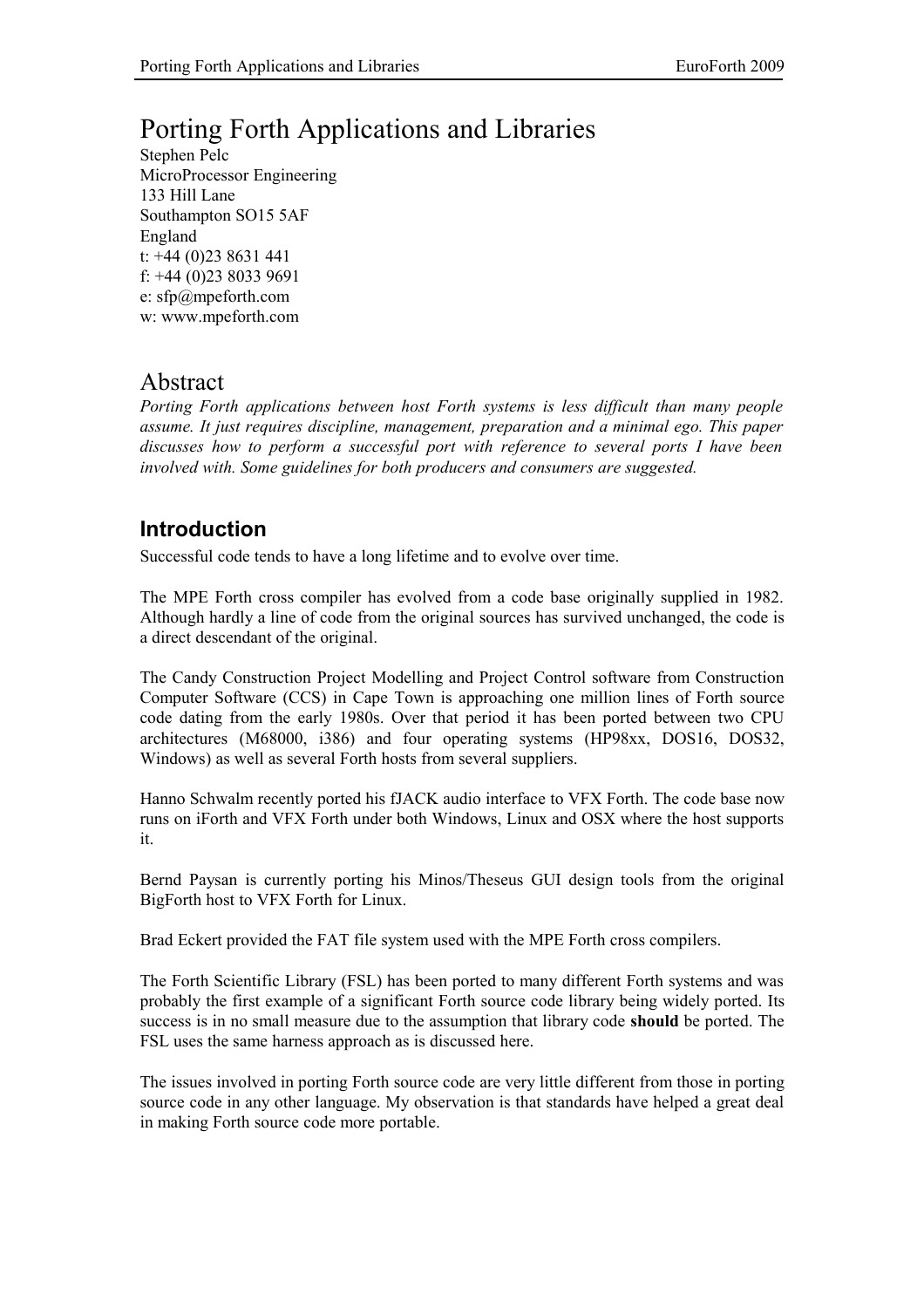# Porting Forth Applications and Libraries

Stephen Pelc MicroProcessor Engineering 133 Hill Lane Southampton SO15 5AF England t: +44 (0)23 8631 441 f: +44 (0)23 8033 9691 e: sfp@mpeforth.com w: www.mpeforth.com

# Abstract

*Porting Forth applications between host Forth systems is less difficult than many people assume. It just requires discipline, management, preparation and a minimal ego. This paper discusses how to perform a successful port with reference to several ports I have been involved with. Some guidelines for both producers and consumers are suggested.*

# **Introduction**

Successful code tends to have a long lifetime and to evolve over time.

The MPE Forth cross compiler has evolved from a code base originally supplied in 1982. Although hardly a line of code from the original sources has survived unchanged, the code is a direct descendant of the original.

The Candy Construction Project Modelling and Project Control software from Construction Computer Software (CCS) in Cape Town is approaching one million lines of Forth source code dating from the early 1980s. Over that period it has been ported between two CPU architectures (M68000, i386) and four operating systems (HP98xx, DOS16, DOS32, Windows) as well as several Forth hosts from several suppliers.

Hanno Schwalm recently ported his fJACK audio interface to VFX Forth. The code base now runs on iForth and VFX Forth under both Windows, Linux and OSX where the host supports it.

Bernd Paysan is currently porting his Minos/Theseus GUI design tools from the original BigForth host to VFX Forth for Linux.

Brad Eckert provided the FAT file system used with the MPE Forth cross compilers.

The Forth Scientific Library (FSL) has been ported to many different Forth systems and was probably the first example of a significant Forth source code library being widely ported. Its success is in no small measure due to the assumption that library code **should** be ported. The FSL uses the same harness approach as is discussed here.

The issues involved in porting Forth source code are very little different from those in porting source code in any other language. My observation is that standards have helped a great deal in making Forth source code more portable.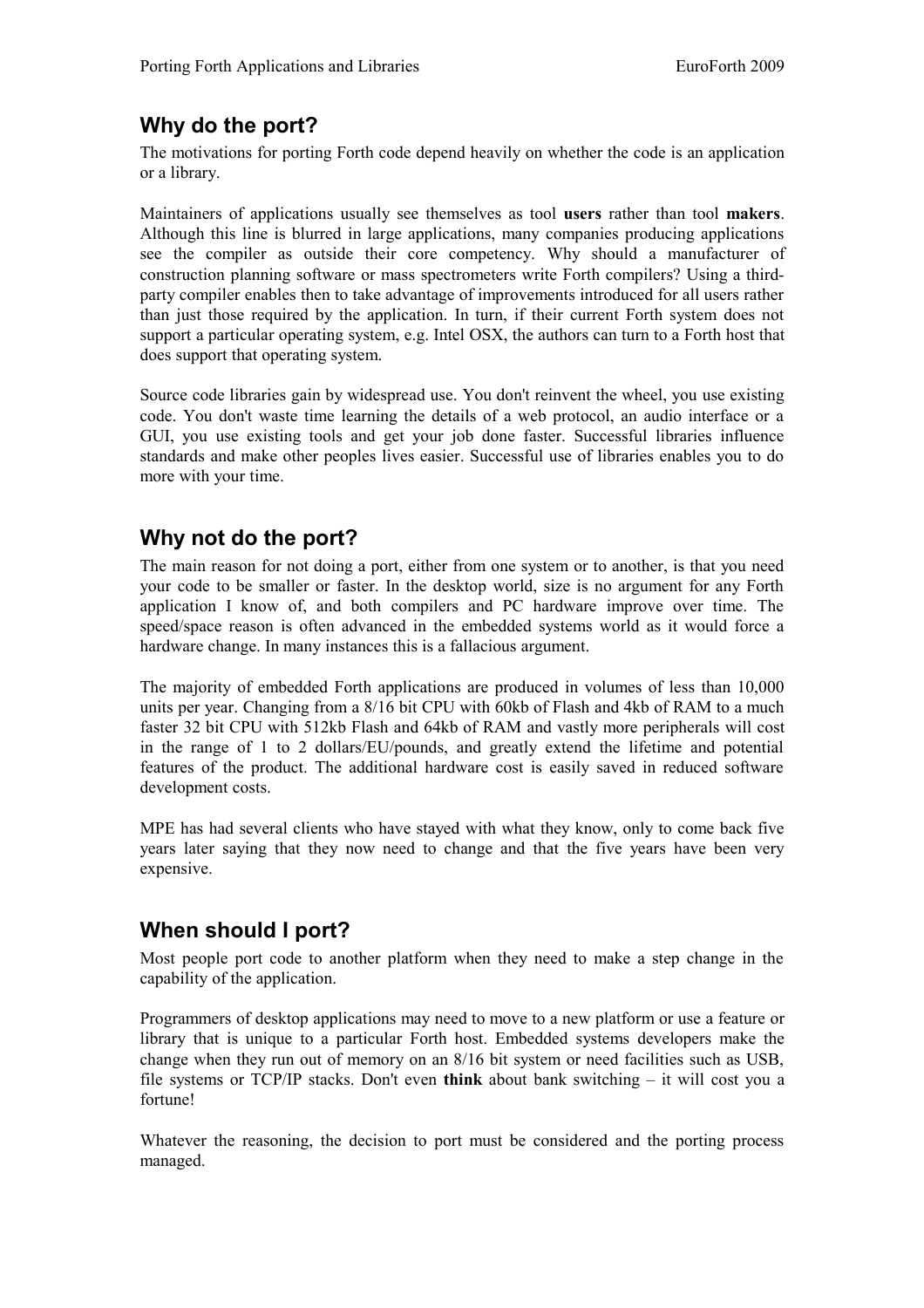# **Why do the port?**

The motivations for porting Forth code depend heavily on whether the code is an application or a library.

Maintainers of applications usually see themselves as tool **users** rather than tool **makers**. Although this line is blurred in large applications, many companies producing applications see the compiler as outside their core competency. Why should a manufacturer of construction planning software or mass spectrometers write Forth compilers? Using a thirdparty compiler enables then to take advantage of improvements introduced for all users rather than just those required by the application. In turn, if their current Forth system does not support a particular operating system, e.g. Intel OSX, the authors can turn to a Forth host that does support that operating system.

Source code libraries gain by widespread use. You don't reinvent the wheel, you use existing code. You don't waste time learning the details of a web protocol, an audio interface or a GUI, you use existing tools and get your job done faster. Successful libraries influence standards and make other peoples lives easier. Successful use of libraries enables you to do more with your time.

# **Why not do the port?**

The main reason for not doing a port, either from one system or to another, is that you need your code to be smaller or faster. In the desktop world, size is no argument for any Forth application I know of, and both compilers and PC hardware improve over time. The speed/space reason is often advanced in the embedded systems world as it would force a hardware change. In many instances this is a fallacious argument.

The majority of embedded Forth applications are produced in volumes of less than 10,000 units per year. Changing from a 8/16 bit CPU with 60kb of Flash and 4kb of RAM to a much faster 32 bit CPU with 512kb Flash and 64kb of RAM and vastly more peripherals will cost in the range of 1 to 2 dollars/EU/pounds, and greatly extend the lifetime and potential features of the product. The additional hardware cost is easily saved in reduced software development costs.

MPE has had several clients who have stayed with what they know, only to come back five years later saying that they now need to change and that the five years have been very expensive.

# **When should I port?**

Most people port code to another platform when they need to make a step change in the capability of the application.

Programmers of desktop applications may need to move to a new platform or use a feature or library that is unique to a particular Forth host. Embedded systems developers make the change when they run out of memory on an 8/16 bit system or need facilities such as USB, file systems or TCP/IP stacks. Don't even **think** about bank switching – it will cost you a fortune!

Whatever the reasoning, the decision to port must be considered and the porting process managed.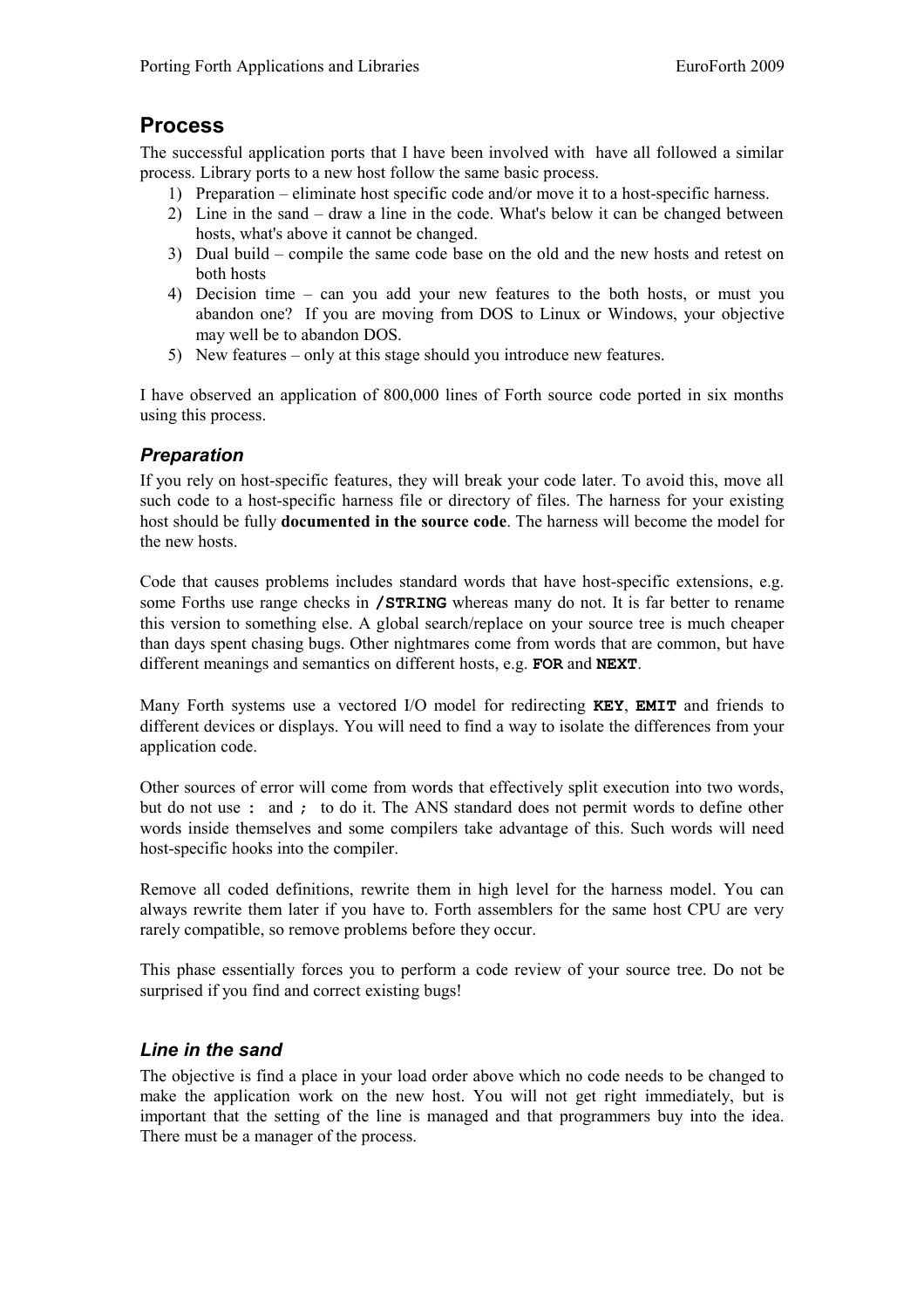## **Process**

The successful application ports that I have been involved with have all followed a similar process. Library ports to a new host follow the same basic process.

- 1) Preparation eliminate host specific code and/or move it to a host-specific harness.
- 2) Line in the sand draw a line in the code. What's below it can be changed between hosts, what's above it cannot be changed.
- 3) Dual build compile the same code base on the old and the new hosts and retest on both hosts
- 4) Decision time can you add your new features to the both hosts, or must you abandon one? If you are moving from DOS to Linux or Windows, your objective may well be to abandon DOS.
- 5) New features only at this stage should you introduce new features.

I have observed an application of 800,000 lines of Forth source code ported in six months using this process.

#### *Preparation*

If you rely on host-specific features, they will break your code later. To avoid this, move all such code to a host-specific harness file or directory of files. The harness for your existing host should be fully **documented in the source code**. The harness will become the model for the new hosts.

Code that causes problems includes standard words that have host-specific extensions, e.g. some Forths use range checks in **/STRING** whereas many do not. It is far better to rename this version to something else. A global search/replace on your source tree is much cheaper than days spent chasing bugs. Other nightmares come from words that are common, but have different meanings and semantics on different hosts, e.g. **FOR** and **NEXT**.

Many Forth systems use a vectored I/O model for redirecting **KEY**, **EMIT** and friends to different devices or displays. You will need to find a way to isolate the differences from your application code.

Other sources of error will come from words that effectively split execution into two words, but do not use **:** and ; to do it. The ANS standard does not permit words to define other words inside themselves and some compilers take advantage of this. Such words will need host-specific hooks into the compiler.

Remove all coded definitions, rewrite them in high level for the harness model. You can always rewrite them later if you have to. Forth assemblers for the same host CPU are very rarely compatible, so remove problems before they occur.

This phase essentially forces you to perform a code review of your source tree. Do not be surprised if you find and correct existing bugs!

#### *Line in the sand*

The objective is find a place in your load order above which no code needs to be changed to make the application work on the new host. You will not get right immediately, but is important that the setting of the line is managed and that programmers buy into the idea. There must be a manager of the process.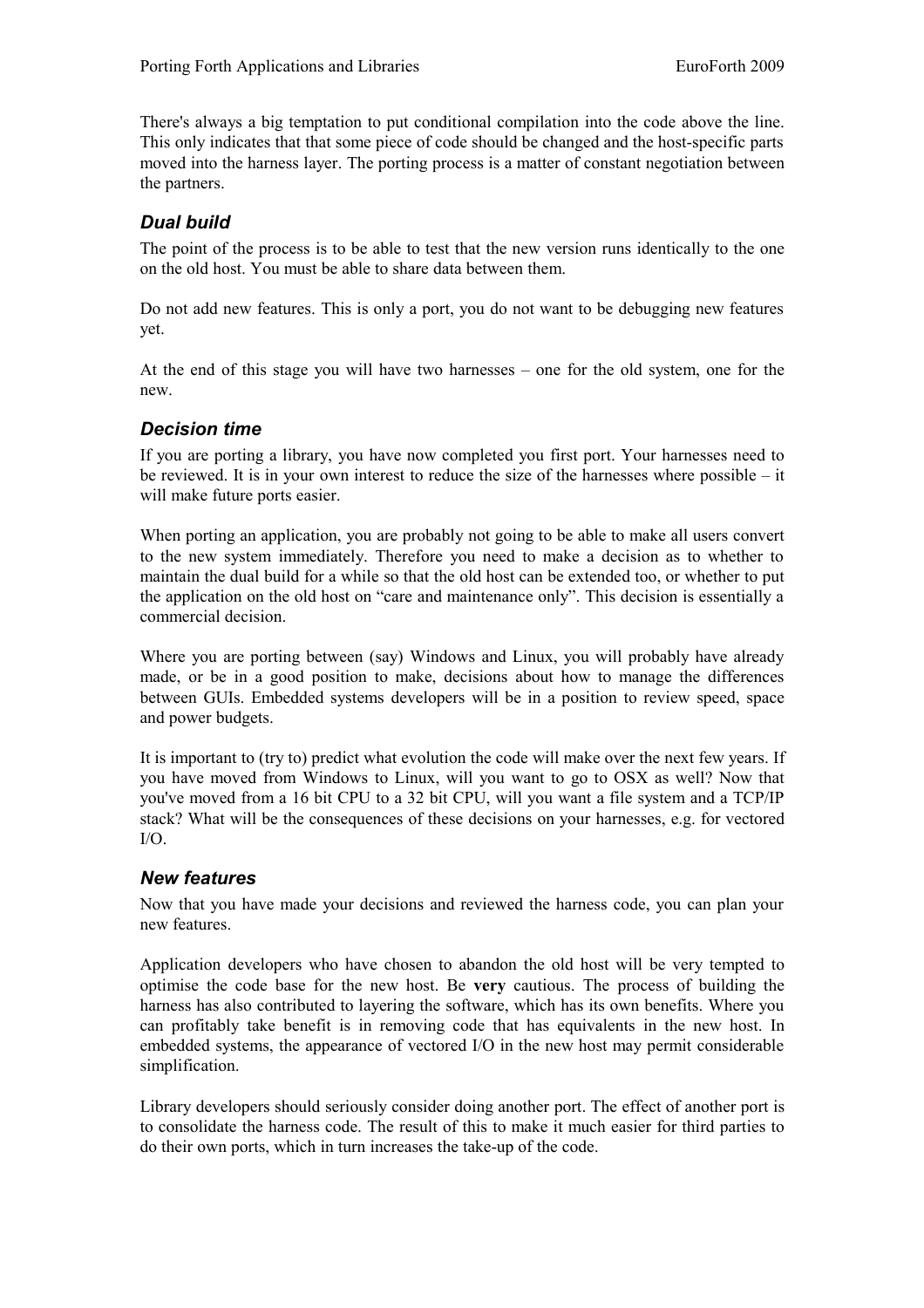There's always a big temptation to put conditional compilation into the code above the line. This only indicates that that some piece of code should be changed and the host-specific parts moved into the harness layer. The porting process is a matter of constant negotiation between the partners.

#### *Dual build*

The point of the process is to be able to test that the new version runs identically to the one on the old host. You must be able to share data between them.

Do not add new features. This is only a port, you do not want to be debugging new features yet.

At the end of this stage you will have two harnesses – one for the old system, one for the new.

#### *Decision time*

If you are porting a library, you have now completed you first port. Your harnesses need to be reviewed. It is in your own interest to reduce the size of the harnesses where possible – it will make future ports easier.

When porting an application, you are probably not going to be able to make all users convert to the new system immediately. Therefore you need to make a decision as to whether to maintain the dual build for a while so that the old host can be extended too, or whether to put the application on the old host on "care and maintenance only". This decision is essentially a commercial decision.

Where you are porting between (say) Windows and Linux, you will probably have already made, or be in a good position to make, decisions about how to manage the differences between GUIs. Embedded systems developers will be in a position to review speed, space and power budgets.

It is important to (try to) predict what evolution the code will make over the next few years. If you have moved from Windows to Linux, will you want to go to OSX as well? Now that you've moved from a 16 bit CPU to a 32 bit CPU, will you want a file system and a TCP/IP stack? What will be the consequences of these decisions on your harnesses, e.g. for vectored I/O.

#### *New features*

Now that you have made your decisions and reviewed the harness code, you can plan your new features.

Application developers who have chosen to abandon the old host will be very tempted to optimise the code base for the new host. Be **very** cautious. The process of building the harness has also contributed to layering the software, which has its own benefits. Where you can profitably take benefit is in removing code that has equivalents in the new host. In embedded systems, the appearance of vectored I/O in the new host may permit considerable simplification.

Library developers should seriously consider doing another port. The effect of another port is to consolidate the harness code. The result of this to make it much easier for third parties to do their own ports, which in turn increases the take-up of the code.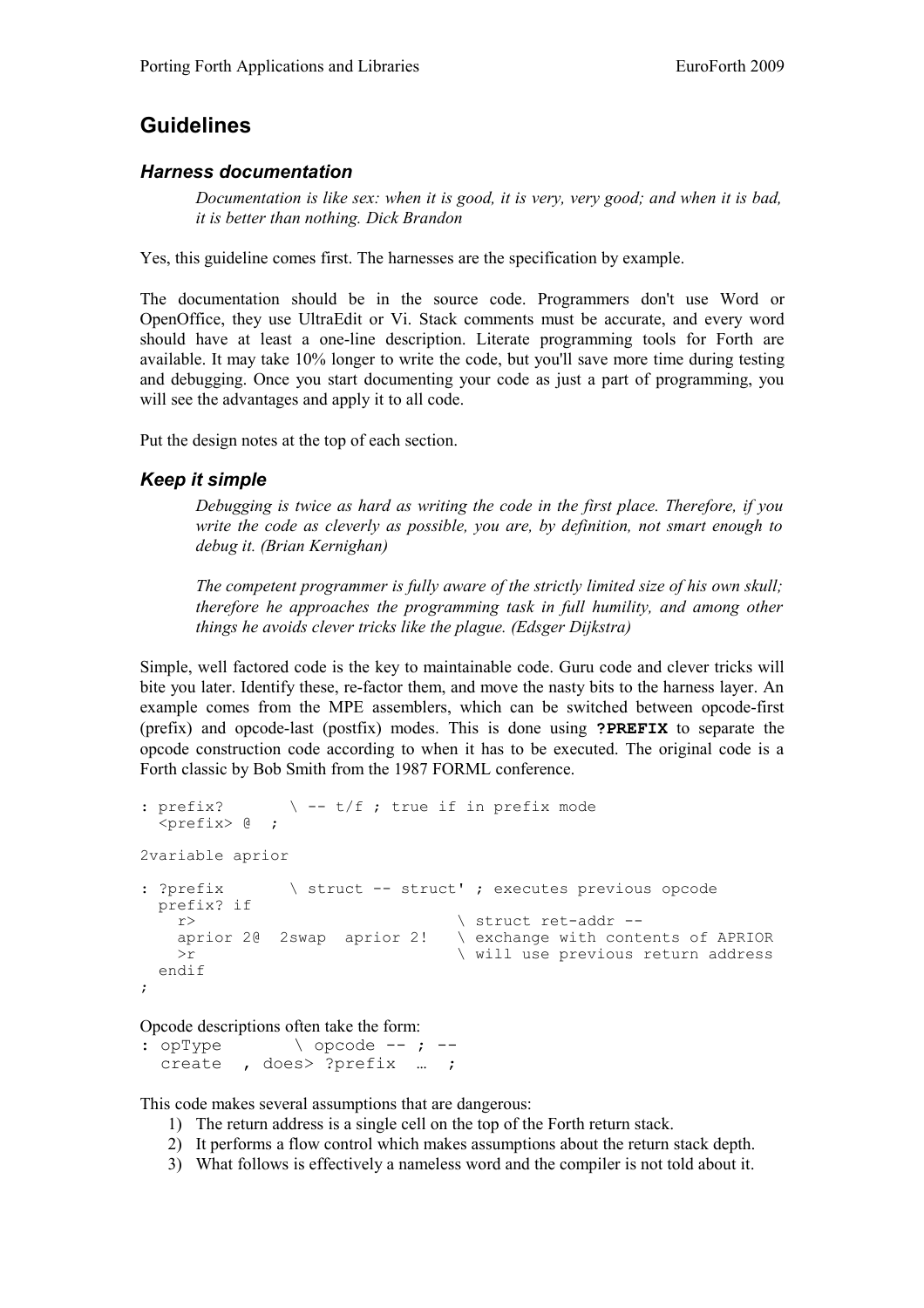### **Guidelines**

#### *Harness documentation*

*Documentation is like sex: when it is good, it is very, very good; and when it is bad, it is better than nothing. Dick Brandon*

Yes, this guideline comes first. The harnesses are the specification by example.

The documentation should be in the source code. Programmers don't use Word or OpenOffice, they use UltraEdit or Vi. Stack comments must be accurate, and every word should have at least a one-line description. Literate programming tools for Forth are available. It may take 10% longer to write the code, but you'll save more time during testing and debugging. Once you start documenting your code as just a part of programming, you will see the advantages and apply it to all code.

Put the design notes at the top of each section.

#### *Keep it simple*

*Debugging is twice as hard as writing the code in the first place. Therefore, if you write the code as cleverly as possible, you are, by definition, not smart enough to debug it. (Brian Kernighan)*

*The competent programmer is fully aware of the strictly limited size of his own skull; therefore he approaches the programming task in full humility, and among other things he avoids clever tricks like the plague. (Edsger Dijkstra)*

Simple, well factored code is the key to maintainable code. Guru code and clever tricks will bite you later. Identify these, re-factor them, and move the nasty bits to the harness layer. An example comes from the MPE assemblers, which can be switched between opcode-first (prefix) and opcode-last (postfix) modes. This is done using **?PREFIX** to separate the opcode construction code according to when it has to be executed. The original code is a Forth classic by Bob Smith from the 1987 FORML conference.

```
: prefix? \setminus -- t/f ; true if in prefix mode
    <prefix> @ ;
2variable aprior
: ?prefix \ struct -- struct' ; executes previous opcode
    prefix? if
     r> \qquad \qquad \qquad \qquad \qquad \qquad \qquad \qquad \qquad \qquad \qquad \qquad \qquad \qquad \qquad \qquad \qquad \qquad \qquad \qquad \qquad \qquad \qquad \qquad \qquad \qquad \qquad \qquad \qquad \qquad \qquad \qquad \qquad \qquad \qquad \qquad \q\setminus exchange with contents of APRIOR
      >r \longrightarrow \vee will use previous return address
    endif
;
```
Opcode descriptions often take the form:

: opType  $\longrightarrow$  opcode --; -create , does> ?prefix … ;

This code makes several assumptions that are dangerous:

- 1) The return address is a single cell on the top of the Forth return stack.
- 2) It performs a flow control which makes assumptions about the return stack depth.
- 3) What follows is effectively a nameless word and the compiler is not told about it.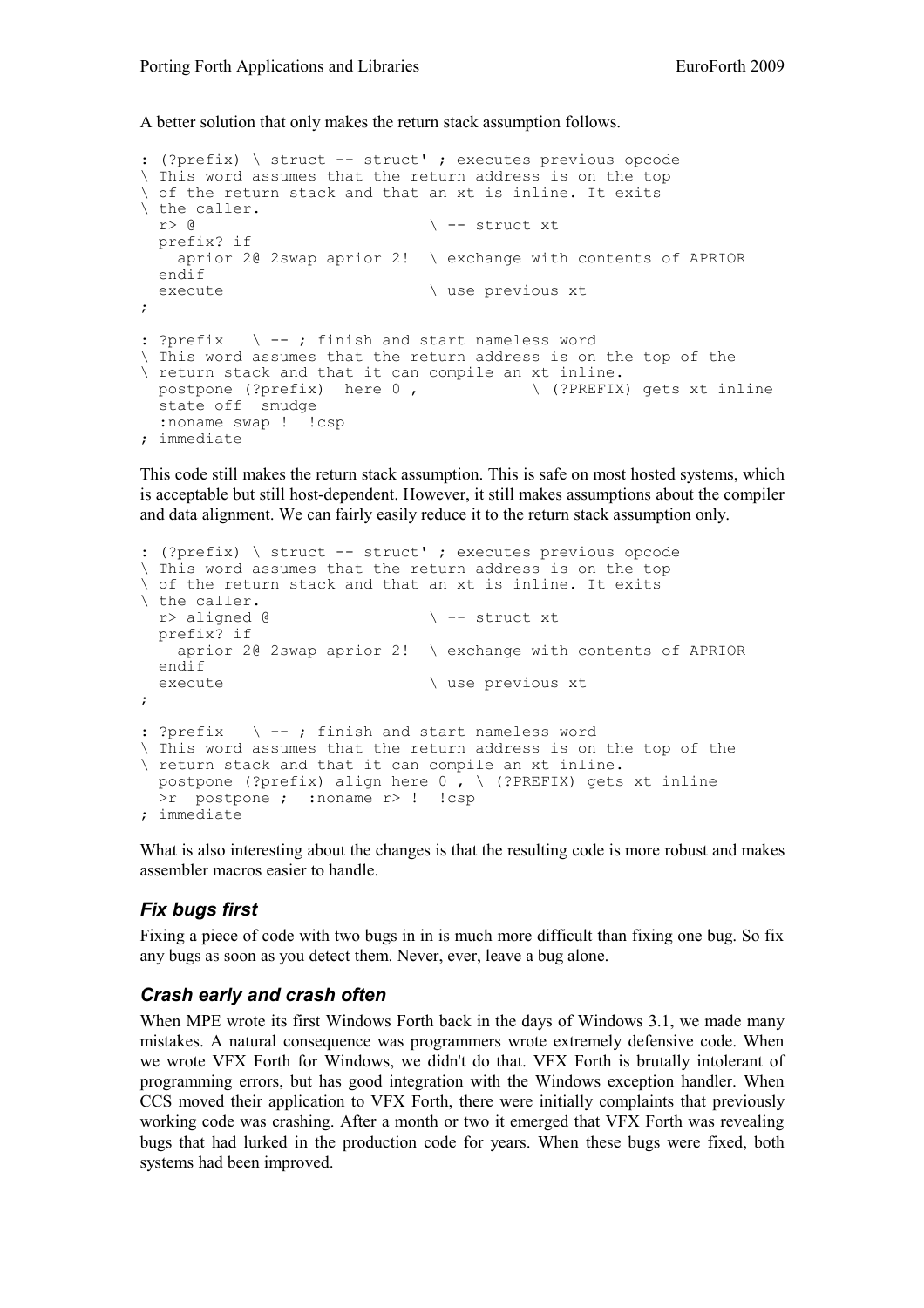A better solution that only makes the return stack assumption follows.

```
: (?prefix) \ struct -- struct' ; executes previous opcode
\ This word assumes that the return address is on the top
\ of the return stack and that an xt is inline. It exits
\ the caller.<br>r> \alpha\backslash -- struct xt
  prefix? if
    aprior 2@ 2swap aprior 2! \ exchange with contents of APRIOR
  endif
 execute \setminus use previous xt
;
: ?prefix \ -- ; finish and start nameless word
\ This word assumes that the return address is on the top of the
\ return stack and that it can compile an xt inline.<br>postpone (?prefix) here 0, \ \ \ (?PREFIX
                                       postpone (?prefix) here 0 , \ (?PREFIX) gets xt inline
  state off smudge
 :noname swap ! !csp
; immediate
```
This code still makes the return stack assumption. This is safe on most hosted systems, which is acceptable but still host-dependent. However, it still makes assumptions about the compiler and data alignment. We can fairly easily reduce it to the return stack assumption only.

```
: (?prefix) \ struct -- struct' ; executes previous opcode
\ This word assumes that the return address is on the top
\ of the return stack and that an xt is inline. It exits
\ the caller.
 r> aligned @ \qquad \qquad \ -- struct xt
  prefix? if
    aprior 2@ 2swap aprior 2! \ exchange with contents of APRIOR
  endif
 execute \setminus use previous xt
;
: ?prefix \ -- ; finish and start nameless word
\ This word assumes that the return address is on the top of the
\ return stack and that it can compile an xt inline.
 postpone (?prefix) align here 0, \ (?PREFIX) gets xt inline
  >r postpone ; :noname r> ! !csp
; immediate
```
What is also interesting about the changes is that the resulting code is more robust and makes assembler macros easier to handle.

### *Fix bugs first*

Fixing a piece of code with two bugs in in is much more difficult than fixing one bug. So fix any bugs as soon as you detect them. Never, ever, leave a bug alone.

#### *Crash early and crash often*

When MPE wrote its first Windows Forth back in the days of Windows 3.1, we made many mistakes. A natural consequence was programmers wrote extremely defensive code. When we wrote VFX Forth for Windows, we didn't do that. VFX Forth is brutally intolerant of programming errors, but has good integration with the Windows exception handler. When CCS moved their application to VFX Forth, there were initially complaints that previously working code was crashing. After a month or two it emerged that VFX Forth was revealing bugs that had lurked in the production code for years. When these bugs were fixed, both systems had been improved.